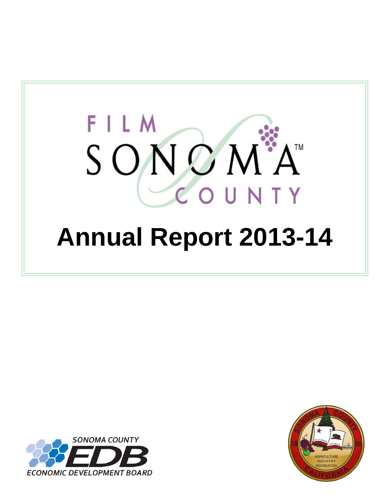

# **Annual Report 2013-14**



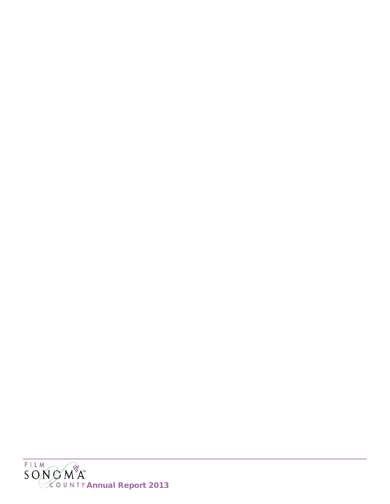

 $\overline{\phantom{0}}$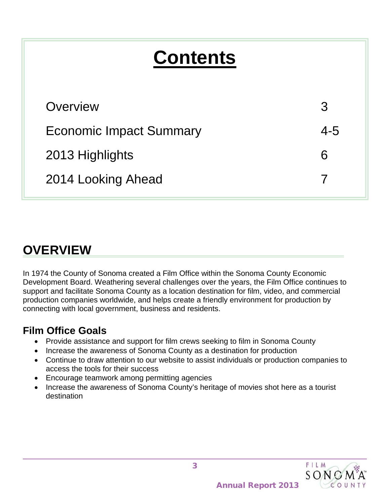## **Contents**

| Overview                       | 3       |
|--------------------------------|---------|
| <b>Economic Impact Summary</b> | $4 - 5$ |
| 2013 Highlights                | 6       |
| 2014 Looking Ahead             |         |

## **OVERVIEW**

In 1974 the County of Sonoma created a Film Office within the Sonoma County Economic Development Board. Weathering several challenges over the years, the Film Office continues to support and facilitate Sonoma County as a location destination for film, video, and commercial production companies worldwide, and helps create a friendly environment for production by connecting with local government, business and residents.

#### **Film Office Goals**

- Provide assistance and support for film crews seeking to film in Sonoma County
- Increase the awareness of Sonoma County as a destination for production
- Continue to draw attention to our website to assist individuals or production companies to access the tools for their success
- Encourage teamwork among permitting agencies
- Increase the awareness of Sonoma County's heritage of movies shot here as a tourist destination

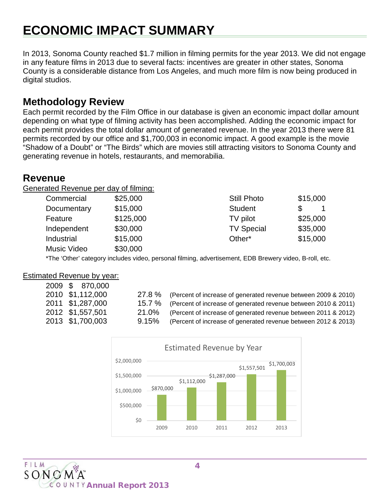## **ECONOMIC IMPACT SUMMARY**

In 2013, Sonoma County reached \$1.7 million in filming permits for the year 2013. We did not engage in any feature films in 2013 due to several facts: incentives are greater in other states, Sonoma County is a considerable distance from Los Angeles, and much more film is now being produced in digital studios.

#### **Methodology Review**

Each permit recorded by the Film Office in our database is given an economic impact dollar amount depending on what type of filming activity has been accomplished. Adding the economic impact for each permit provides the total dollar amount of generated revenue. In the year 2013 there were 81 permits recorded by our office and \$1,700,003 in economic impact. A good example is the movie "Shadow of a Doubt" or "The Birds" which are movies still attracting visitors to Sonoma County and generating revenue in hotels, restaurants, and memorabilia.

#### **Revenue**

Generated Revenue per day of filming:

| Commercial  | \$25,000  | <b>Still Photo</b> | \$15,000 |
|-------------|-----------|--------------------|----------|
| Documentary | \$15,000  | <b>Student</b>     |          |
| Feature     | \$125,000 | TV pilot           | \$25,000 |
| Independent | \$30,000  | <b>TV Special</b>  | \$35,000 |
| Industrial  | \$15,000  | Other*             | \$15,000 |
| Music Video | \$30,000  |                    |          |

\*The 'Other' category includes video, personal filming, advertisement, EDB Brewery video, B-roll, etc.

#### Estimated Revenue by year:

| 2009 \$ 870,000  |          |                                                                       |
|------------------|----------|-----------------------------------------------------------------------|
| 2010 \$1.112.000 | 27.8 %   | (Percent of increase of generated revenue between 2009 & 2010)        |
| 2011 \$1,287,000 |          | 15.7 % (Percent of increase of generated revenue between 2010 & 2011) |
| 2012 \$1.557.501 | 21.0%    | (Percent of increase of generated revenue between 2011 & 2012)        |
| 2013 \$1,700,003 | $9.15\%$ | (Percent of increase of generated revenue between 2012 & 2013)        |
|                  |          |                                                                       |





 $\overline{\phantom{0}}$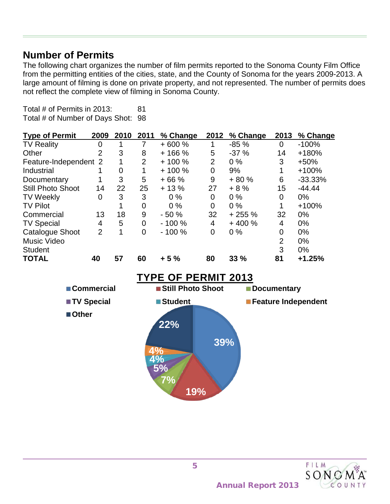#### **Number of Permits**

The following chart organizes the number of film permits reported to the Sonoma County Film Office from the permitting entities of the cities, state, and the County of Sonoma for the years 2009-2013. A large amount of filming is done on private property, and not represented. The number of permits does not reflect the complete view of filming in Sonoma County.

Total # of Permits in 2013: 81 Total # of Number of Days Shot: 98

| <b>Type of Permit</b>    | 2009           | 2010 | 2011           | % Change | 2012           | % Change | 2013           | % Change  |
|--------------------------|----------------|------|----------------|----------|----------------|----------|----------------|-----------|
| <b>TV Reality</b>        | 0              | 4    |                | $+600%$  |                | $-85%$   | 0              | $-100%$   |
| Other                    | $\overline{2}$ | 3    | 8              | $+166%$  | 5              | $-37%$   | 14             | $+180%$   |
| Feature-Independent 2    |                |      | $\overline{2}$ | $+100%$  | $\overline{2}$ | $0\%$    | 3              | $+50%$    |
| Industrial               |                | 0    |                | $+100%$  | 0              | 9%       |                | $+100%$   |
| Documentary              | 1              | 3    | 5              | $+66%$   | 9              | $+80%$   | 6              | $-33.33%$ |
| <b>Still Photo Shoot</b> | 14             | 22   | 25             | $+13%$   | 27             | $+8%$    | 15             | $-44.44$  |
| <b>TV Weekly</b>         | 0              | 3    | 3              | $0\%$    | 0              | $0\%$    | $\overline{0}$ | $0\%$     |
| <b>TV Pilot</b>          |                |      | 0              | $0\%$    | 0              | $0\%$    | 1              | $+100%$   |
| Commercial               | 13             | 18   | 9              | $-50%$   | 32             | $+255%$  | 32             | $0\%$     |
| <b>TV Special</b>        | 4              | 5    | 0              | $-100%$  | 4              | $+400%$  | 4              | $0\%$     |
| <b>Catalogue Shoot</b>   | $\overline{2}$ | 1    | $\overline{0}$ | $-100%$  | $\overline{0}$ | $0\%$    | 0              | 0%        |
| <b>Music Video</b>       |                |      |                |          |                |          | 2              | $0\%$     |
| <b>Student</b>           |                |      |                |          |                |          | 3              | $0\%$     |
| <b>TOTAL</b>             | 40             | 57   | 60             | $+5%$    | 80             | 33%      | 81             | $+1.25%$  |
|                          |                |      |                |          |                |          |                |           |



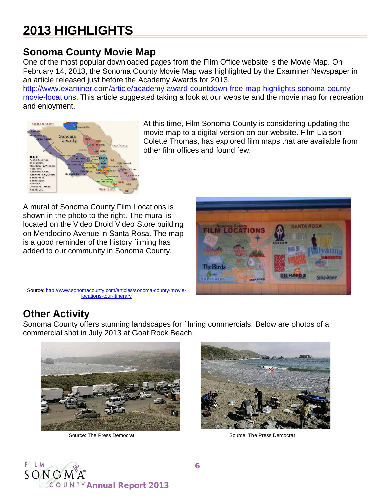## **2013 HIGHLIGHTS**

### **Sonoma County Movie Map**

One of the most popular downloaded pages from the Film Office website is the Movie Map. On February 14, 2013, the Sonoma County Movie Map was highlighted by the Examiner Newspaper in an article released just before the Academy Awards for 2013.

[http://www.examiner.com/article/academy-award-countdown-free-map-highlights-sonoma-county](http://www.examiner.com/article/academy-award-countdown-free-map-highlights-sonoma-county-movie-locations)[movie-locations.](http://www.examiner.com/article/academy-award-countdown-free-map-highlights-sonoma-county-movie-locations) This article suggested taking a look at our website and the movie map for recreation and enjoyment.



At this time, Film Sonoma County is considering updating the movie map to a digital version on our website. Film Liaison Colette Thomas, has explored film maps that are available from other film offices and found few.

A mural of Sonoma County Film Locations is shown in the photo to the right. The mural is located on the Video Droid Video Store building on Mendocino Avenue in Santa Rosa. The map is a good reminder of the history filming has added to our community in Sonoma County.



Source: [http://www.sonomacounty.com/articles/sonoma-county-movie](http://www.sonomacounty.com/articles/sonoma-county-movie-locations-tour-itinerary)[locations-tour-itinerary](http://www.sonomacounty.com/articles/sonoma-county-movie-locations-tour-itinerary)

#### **Other Activity**

Sonoma County offers stunning landscapes for filming commercials. Below are photos of a commercial shot in July 2013 at Goat Rock Beach.





Source: The Press Democrat **by Contact Accounts** Source: The Press Democrat

 $\overline{\phantom{0}}$ 

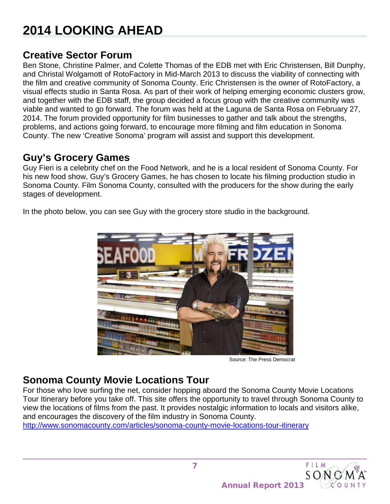## **2014 LOOKING AHEAD**

#### **Creative Sector Forum**

Ben Stone, Christine Palmer, and Colette Thomas of the EDB met with Eric Christensen, Bill Dunphy, and Christal Wolgamott of RotoFactory in Mid-March 2013 to discuss the viability of connecting with the film and creative community of Sonoma County. Eric Christensen is the owner of RotoFactory, a visual effects studio in Santa Rosa. As part of their work of helping emerging economic clusters grow, and together with the EDB staff, the group decided a focus group with the creative community was viable and wanted to go forward. The forum was held at the Laguna de Santa Rosa on February 27, 2014. The forum provided opportunity for film businesses to gather and talk about the strengths, problems, and actions going forward, to encourage more filming and film education in Sonoma County. The new 'Creative Sonoma' program will assist and support this development.

#### **Guy's Grocery Games**

Guy Fieri is a celebrity chef on the Food Network, and he is a local resident of Sonoma County. For his new food show, Guy's Grocery Games, he has chosen to locate his filming production studio in Sonoma County. Film Sonoma County, consulted with the producers for the show during the early stages of development.

In the photo below, you can see Guy with the grocery store studio in the background.



Source: The Press Democrat

#### **Sonoma County Movie Locations Tour**

For those who love surfing the net, consider hopping aboard the Sonoma County Movie Locations Tour Itinerary before you take off. This site offers the opportunity to travel through Sonoma County to view the locations of films from the past. It provides nostalgic information to locals and visitors alike, and encourages the discovery of the film industry in Sonoma County.

<http://www.sonomacounty.com/articles/sonoma-county-movie-locations-tour-itinerary>